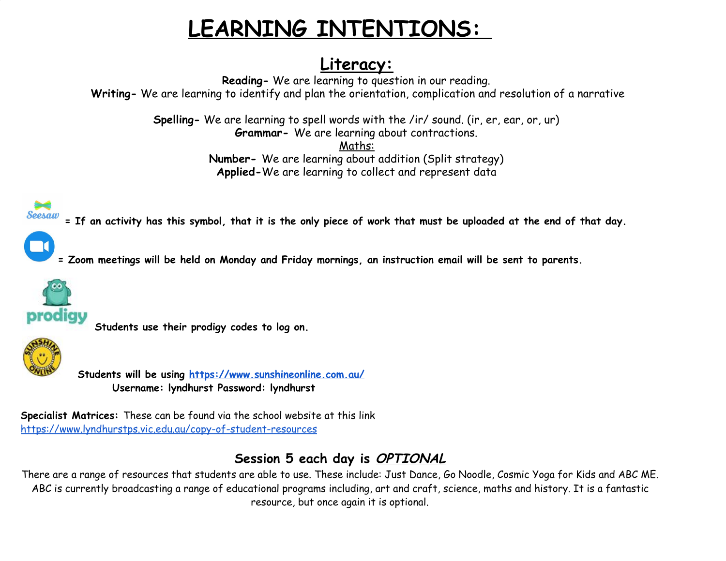## **LEARNING INTENTIONS:**

## **Literacy:**

**Reading-** We are learning to question in our reading. **Writing-** We are learning to identify and plan the orientation, complication and resolution of a narrative

> **Spelling-** We are learning to spell words with the /ir/ sound. (ir, er, ear, or, ur) **Grammar-** We are learning about contractions.

Maths: **Number-** We are learning about addition (Split strategy) **Applied-**We are learning to collect and represent data

= If an activity has this symbol, that it is the only piece of work that must be uploaded at the end of that day.



= Zoom meetings will be held on Monday and Friday mornings, an instruction email will be sent to parents.



**Students use their prodigy codes to log on.**



**Students will be using <https://www.sunshineonline.com.au/> Username: lyndhurst Password: lyndhurst**

**Specialist Matrices:** These can be found via the school website at this link <https://www.lyndhurstps.vic.edu.au/copy-of-student-resources>

## **Session 5 each day is OPTIONAL**

There are a range of resources that students are able to use. These include: Just Dance, Go Noodle, Cosmic Yoga for Kids and ABC ME. ABC is currently broadcasting a range of educational programs including, art and craft, science, maths and history. It is a fantastic resource, but once again it is optional.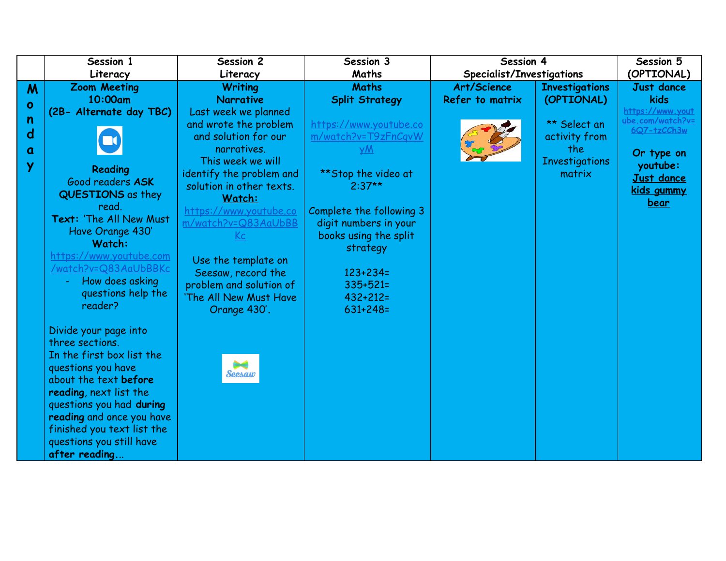|           | Session 1                                       | Session 2                 | Session 3                | Session 4                 |                       | Session 5                       |
|-----------|-------------------------------------------------|---------------------------|--------------------------|---------------------------|-----------------------|---------------------------------|
|           | Literacy                                        | Literacy                  | Maths                    | Specialist/Investigations |                       | (OPTIONAL)                      |
| M         | <b>Zoom Meeting</b>                             | <b>Writing</b>            | <b>Maths</b>             | Art/Science               | <b>Investigations</b> | <b>Just dance</b>               |
| $\bullet$ | 10:00am                                         | <b>Narrative</b>          | <b>Split Strategy</b>    | Refer to matrix           | (OPTIONAL)            | kids                            |
|           | (2B- Alternate day TBC)                         | Last week we planned      |                          |                           |                       | https://www.yout                |
| n         |                                                 | and wrote the problem     | https://www.youtube.co   |                           | ** Select an          | ube.com/watch?v=<br>6Q7-tzCCh3w |
| d         | $\Box$                                          | and solution for our      | m/watch?v=T9zFnCgvW      |                           | activity from         |                                 |
| a         |                                                 | narratives.               | yM                       |                           | the                   | Or type on                      |
| Y         |                                                 | This week we will         |                          |                           | <b>Investigations</b> | youtube:                        |
|           | <b>Reading</b>                                  | identify the problem and  | **Stop the video at      |                           | matrix                | <b>Just dance</b>               |
|           | Good readers ASK                                | solution in other texts.  | $2:37**$                 |                           |                       | kids gummy                      |
|           | <b>QUESTIONS</b> as they                        | Watch:                    |                          |                           |                       | <u>bear</u>                     |
|           | read.<br>Text: 'The All New Must                | https://www.youtube.co    | Complete the following 3 |                           |                       |                                 |
|           |                                                 | m/watch?v=Q83AaUbBB       | digit numbers in your    |                           |                       |                                 |
|           | Have Orange 430'<br>Watch:                      | $\underline{\mathsf{Kc}}$ | books using the split    |                           |                       |                                 |
|           |                                                 |                           | strategy                 |                           |                       |                                 |
|           | https://www.youtube.com<br>/watch?v=Q83AaUbBBKc | Use the template on       |                          |                           |                       |                                 |
|           | How does asking                                 | Seesaw, record the        | $123 + 234 =$            |                           |                       |                                 |
|           | questions help the                              | problem and solution of   | $335 + 521 =$            |                           |                       |                                 |
|           | reader?                                         | 'The All New Must Have    | $432 + 212 =$            |                           |                       |                                 |
|           |                                                 | Orange 430'.              | $631 + 248 =$            |                           |                       |                                 |
|           | Divide your page into                           |                           |                          |                           |                       |                                 |
|           | three sections.                                 |                           |                          |                           |                       |                                 |
|           | In the first box list the                       |                           |                          |                           |                       |                                 |
|           | questions you have                              |                           |                          |                           |                       |                                 |
|           | about the text before                           | <b>Seesaw</b>             |                          |                           |                       |                                 |
|           | reading, next list the                          |                           |                          |                           |                       |                                 |
|           | questions you had during                        |                           |                          |                           |                       |                                 |
|           | reading and once you have                       |                           |                          |                           |                       |                                 |
|           | finished you text list the                      |                           |                          |                           |                       |                                 |
|           | questions you still have                        |                           |                          |                           |                       |                                 |
|           | after reading                                   |                           |                          |                           |                       |                                 |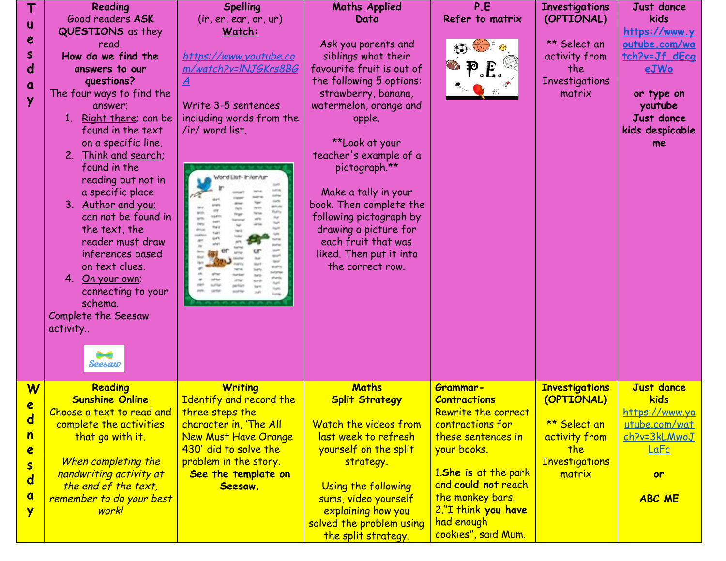| Complete the Seesaw<br>activity<br>Seesaw<br><b>Maths</b><br>Reading<br><b>Writing</b><br>W<br><b>Investigations</b><br>Grammar-<br><b>Sunshine Online</b><br>Identify and record the<br><b>Split Strategy</b><br>(OPTIONAL)<br><b>Contractions</b><br>e<br>Choose a text to read and<br>three steps the<br>Rewrite the correct<br>$\mathbf d$<br>Watch the videos from<br>** Select an<br>complete the activities<br>character in, 'The All<br>contractions for<br>n<br>last week to refresh<br>that go with it.<br><b>New Must Have Orange</b><br>these sentences in<br>activity from<br>430' did to solve the<br>yourself on the split<br>your books.<br>the<br>e<br>problem in the story.<br><b>Investigations</b><br>When completing the<br>strategy.<br>$\overline{\mathbf{s}}$<br>1.She is at the park<br>See the template on<br>handwriting activity at<br>matrix<br>$\mathbf d$ | T<br>Reading<br>Good readers ASK<br>u<br>QUESTIONS as they<br>e<br>read.<br>S<br>How do we find the<br>$\mathbf d$<br>answers to our<br>questions?<br>a<br>The four ways to find the<br>Ÿ<br>answer;<br>1. Right there; can be<br>found in the text<br>on a specific line.<br>2. Think and search;<br>found in the<br>reading but not in<br>a specific place<br>3. Author and you;<br>can not be found in<br>the text, the<br>reader must draw<br>inferences based<br>on text clues.<br>4. On your own;<br>connecting to your<br>schema. | <b>Spelling</b><br>$($ ir, er, ear, or, ur $)$<br>Watch:<br>https://www.youtube.co<br>m/watch?v=INJGKrs8BG<br>Write 3-5 sentences<br>including words from the<br>/ir/ word list.<br>Vord List- in/en/un<br><b>African</b> | <b>Maths Applied</b><br>Data<br>Ask you parents and<br>siblings what their<br>favourite fruit is out of<br>the following 5 options:<br>strawberry, banana,<br>watermelon, orange and<br>apple.<br>**Look at your<br>teacher's example of a<br>pictograph.**<br>Make a tally in your<br>book. Then complete the<br>following pictograph by<br>drawing a picture for<br>each fruit that was<br>liked. Then put it into<br>the correct row. | P.E<br>Refer to matrix | <b>Investigations</b><br>(OPTIONAL)<br>** Select an<br>activity from<br>the<br>Investigations<br>matrix | Just dance<br>kids<br>https://www.y<br>outube.com/wa<br>tch?v=Jf dEca<br><u>eJWo</u><br>or type on<br>youtube<br><b>Just dance</b><br>kids despicable<br>me |
|------------------------------------------------------------------------------------------------------------------------------------------------------------------------------------------------------------------------------------------------------------------------------------------------------------------------------------------------------------------------------------------------------------------------------------------------------------------------------------------------------------------------------------------------------------------------------------------------------------------------------------------------------------------------------------------------------------------------------------------------------------------------------------------------------------------------------------------------------------------------------------------|------------------------------------------------------------------------------------------------------------------------------------------------------------------------------------------------------------------------------------------------------------------------------------------------------------------------------------------------------------------------------------------------------------------------------------------------------------------------------------------------------------------------------------------|---------------------------------------------------------------------------------------------------------------------------------------------------------------------------------------------------------------------------|------------------------------------------------------------------------------------------------------------------------------------------------------------------------------------------------------------------------------------------------------------------------------------------------------------------------------------------------------------------------------------------------------------------------------------------|------------------------|---------------------------------------------------------------------------------------------------------|-------------------------------------------------------------------------------------------------------------------------------------------------------------|
| $\mathbf a$<br>the monkey bars.<br>remember to do your best<br>sums, video yourself<br>2."I think you have<br>explaining how you<br>work!<br>Y<br>had enough<br>solved the problem using<br>cookies", said Mum.                                                                                                                                                                                                                                                                                                                                                                                                                                                                                                                                                                                                                                                                          | the end of the text,                                                                                                                                                                                                                                                                                                                                                                                                                                                                                                                     | Seesaw.                                                                                                                                                                                                                   | Using the following                                                                                                                                                                                                                                                                                                                                                                                                                      | and could not reach    |                                                                                                         | <b>Just dance</b><br>kids<br><u>https://www.yo</u><br>utube.com/wat<br>ch?v=3kLMwoJ<br>LaFc<br><b>or</b><br><b>ABC ME</b>                                   |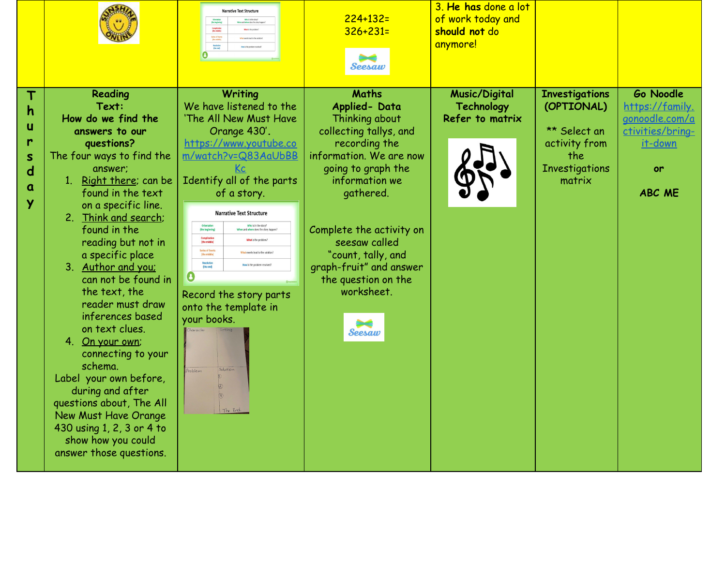|                                                 |                                                                                                                                                                                                                                                                                                                                                                                                                                                                                                                                                                                                                                    | <b>Narrative Text Structure</b><br>Who is in the stary?<br>Andrew door the district book<br>Complication<br>(the middle)<br>What is the cardines<br>Series of Event<br>(the middle)<br>Resolution<br>(the end)<br>O                                                                                                                                                                                                                                                                                                                                                      | $224 + 132 =$<br>$326 + 231 =$<br>Seesaw                                                                                                                                                                                                                                                                               | 3. He has done a lot<br>of work today and<br>should not do<br>anymore! |                                                                                                                |                                                                                                      |
|-------------------------------------------------|------------------------------------------------------------------------------------------------------------------------------------------------------------------------------------------------------------------------------------------------------------------------------------------------------------------------------------------------------------------------------------------------------------------------------------------------------------------------------------------------------------------------------------------------------------------------------------------------------------------------------------|--------------------------------------------------------------------------------------------------------------------------------------------------------------------------------------------------------------------------------------------------------------------------------------------------------------------------------------------------------------------------------------------------------------------------------------------------------------------------------------------------------------------------------------------------------------------------|------------------------------------------------------------------------------------------------------------------------------------------------------------------------------------------------------------------------------------------------------------------------------------------------------------------------|------------------------------------------------------------------------|----------------------------------------------------------------------------------------------------------------|------------------------------------------------------------------------------------------------------|
| h<br>u<br>r<br>$\mathsf{s}$<br>$\mathbf d$<br>α | Reading<br>Text:<br>How do we find the<br>answers to our<br>questions?<br>The four ways to find the<br>answer:<br>1. Right there; can be<br>found in the text<br>on a specific line.<br>2. Think and search;<br>found in the<br>reading but not in<br>a specific place<br>3. Author and you:<br>can not be found in<br>the text, the<br>reader must draw<br>inferences based<br>on text clues.<br>4. On your own;<br>connecting to your<br>schema.<br>Label your own before,<br>during and after<br>questions about, The All<br>New Must Have Orange<br>430 using 1, 2, 3 or 4 to<br>show how you could<br>answer those questions. | Writing<br>We have listened to the<br>'The All New Must Have<br>Orange 430'.<br>https://www.youtube.co<br>m/watch?v=Q83AaUbBB<br>Кc<br>Identify all of the parts<br>of a story.<br><b>Narrative Text Structure</b><br>Who is in the story?<br>Orientation<br>(the beginning)<br>Complication<br>(the middle)<br>What is the problem<br>Series of Events<br>(the middle)<br>What events lead to the solution<br>Resolution<br>(the end)<br>tow is the problem resolver<br>Record the story parts<br>onto the template in<br>your books.<br>Solution<br>roblem<br>The End. | <b>Maths</b><br>Applied-Data<br>Thinking about<br>collecting tallys, and<br>recording the<br>information. We are now<br>going to graph the<br>information we<br>gathered.<br>Complete the activity on<br>seesaw called<br>"count, tally, and<br>graph-fruit" and answer<br>the question on the<br>worksheet.<br>Seesaw | <b>Music/Digital</b><br><b>Technology</b><br>Refer to matrix           | <b>Investigations</b><br>(OPTIONAL)<br>** Select an<br>activity from<br>the<br><b>Investigations</b><br>matrix | Go Noodle<br>https://family.<br>gonoodle.com/a<br>ctivities/bring-<br>it-down<br>or<br><b>ABC ME</b> |